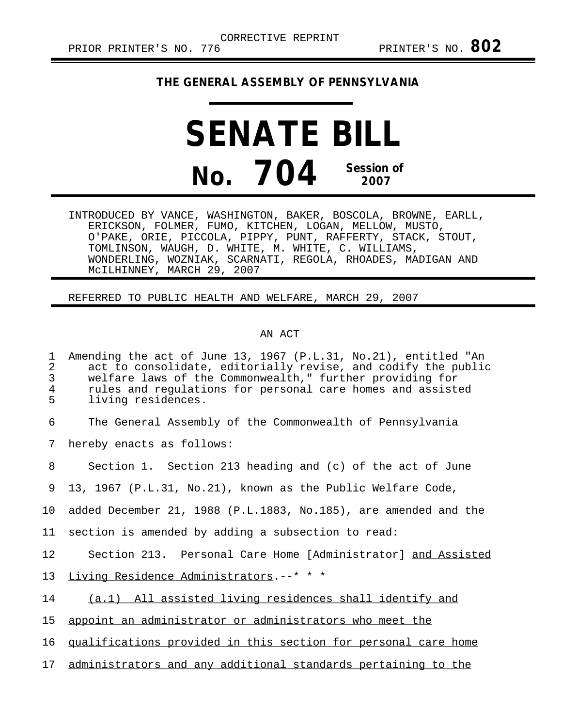## **THE GENERAL ASSEMBLY OF PENNSYLVANIA**

## **SENATE BILL No. 704 Session of 2007**

INTRODUCED BY VANCE, WASHINGTON, BAKER, BOSCOLA, BROWNE, EARLL, ERICKSON, FOLMER, FUMO, KITCHEN, LOGAN, MELLOW, MUSTO, O'PAKE, ORIE, PICCOLA, PIPPY, PUNT, RAFFERTY, STACK, STOUT, TOMLINSON, WAUGH, D. WHITE, M. WHITE, C. WILLIAMS, WONDERLING, WOZNIAK, SCARNATI, REGOLA, RHOADES, MADIGAN AND McILHINNEY, MARCH 29, 2007

## REFERRED TO PUBLIC HEALTH AND WELFARE, MARCH 29, 2007

## AN ACT

| Amending the act of June 13, 1967 (P.L.31, No.21), entitled "An<br>act to consolidate, editorially revise, and codify the public<br>welfare laws of the Commonwealth," further providing for<br>rules and regulations for personal care homes and assisted<br>living residences. |
|----------------------------------------------------------------------------------------------------------------------------------------------------------------------------------------------------------------------------------------------------------------------------------|
| The General Assembly of the Commonwealth of Pennsylvania                                                                                                                                                                                                                         |
| hereby enacts as follows:                                                                                                                                                                                                                                                        |
| Section 1. Section 213 heading and (c) of the act of June                                                                                                                                                                                                                        |
| 13, 1967 (P.L.31, No.21), known as the Public Welfare Code,                                                                                                                                                                                                                      |
| added December 21, 1988 (P.L.1883, No.185), are amended and the                                                                                                                                                                                                                  |
| section is amended by adding a subsection to read:                                                                                                                                                                                                                               |
| Section 213. Personal Care Home [Administrator] and Assisted                                                                                                                                                                                                                     |
| Living Residence Administrators.--* * *                                                                                                                                                                                                                                          |
| (a.1) All assisted living residences shall identify and                                                                                                                                                                                                                          |
| appoint an administrator or administrators who meet the                                                                                                                                                                                                                          |
| qualifications provided in this section for personal care home                                                                                                                                                                                                                   |
| administrators and any additional standards pertaining to the                                                                                                                                                                                                                    |
|                                                                                                                                                                                                                                                                                  |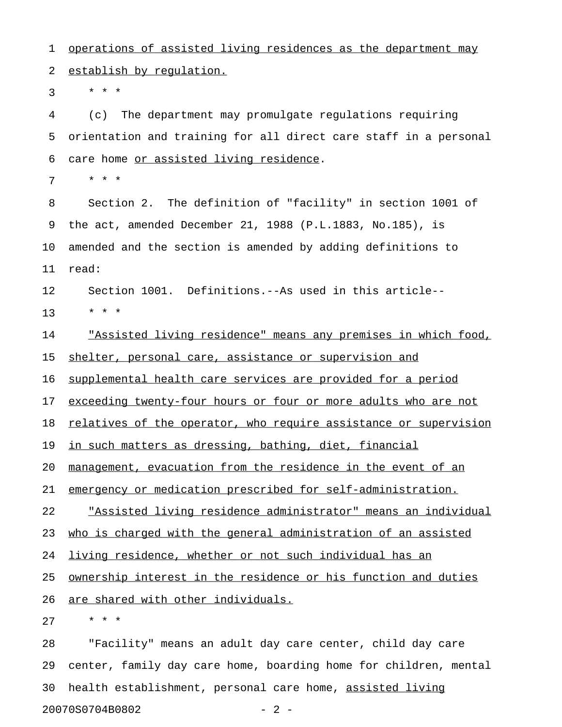1 operations of assisted living residences as the department may 2 establish by requlation.

 $3 * * * *$ 

4 (c) The department may promulgate regulations requiring 5 orientation and training for all direct care staff in a personal 6 care home or assisted living residence.

7 \* \* \*

8 Section 2. The definition of "facility" in section 1001 of 9 the act, amended December 21, 1988 (P.L.1883, No.185), is 10 amended and the section is amended by adding definitions to 11 read:

12 Section 1001. Definitions.--As used in this article-- 13 \* \* \*

14 The <u>"Assisted living residence" means any premises in which food,</u> 15 shelter, personal care, assistance or supervision and

16 supplemental health care services are provided for a period

17 exceeding twenty-four hours or four or more adults who are not

18 relatives of the operator, who require assistance or supervision

19 in such matters as dressing, bathing, diet, financial

20 management, evacuation from the residence in the event of an

21 emergency or medication prescribed for self-administration.

22 The state integral indicate in the set of  $22$  The state individual  $22$  The state individual

23 who is charged with the general administration of an assisted

24 living residence, whether or not such individual has an

25 <u>ownership interest in the residence or his function and duties</u>

26 are shared with other individuals.

27 \* \* \*

28 "Facility" means an adult day care center, child day care 29 center, family day care home, boarding home for children, mental 30 health establishment, personal care home, assisted living 20070S0704B0802 - 2 -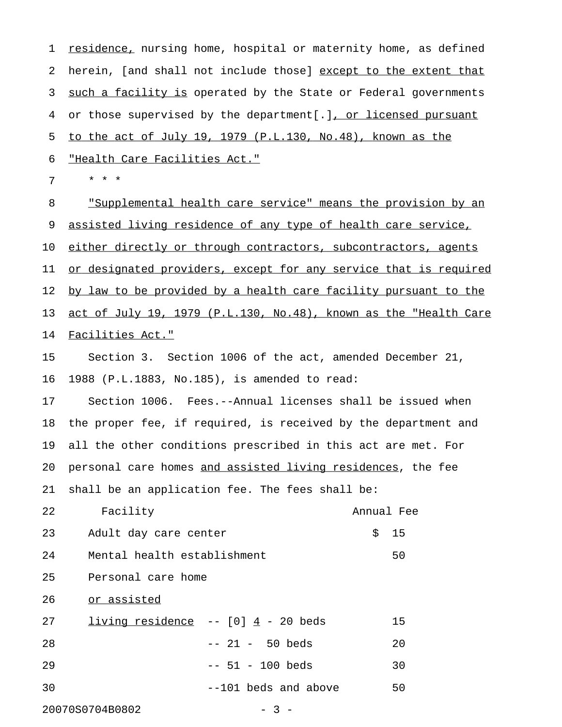1 <u>residence,</u> nursing home, hospital or maternity home, as defined 2 herein, [and shall not include those] except to the extent that 3 such a facility is operated by the State or Federal governments 4 or those supervised by the department[.], or licensed pursuant 5 to the act of July 19, 1979 (P.L.130, No.48), known as the 6 "Health Care Facilities Act." 7 \* \* \* 8 "Supplemental health care service" means the provision by an 9 assisted living residence of any type of health care service, 10 either directly or through contractors, subcontractors, agents 11 or designated providers, except for any service that is required

12 by law to be provided by a health care facility pursuant to the 13 act of July 19, 1979 (P.L.130, No.48), known as the "Health Care 14 Facilities Act."

15 Section 3. Section 1006 of the act, amended December 21, 16 1988 (P.L.1883, No.185), is amended to read:

17 Section 1006. Fees.--Annual licenses shall be issued when 18 the proper fee, if required, is received by the department and 19 all the other conditions prescribed in this act are met. For 20 personal care homes and assisted living residences, the fee 21 shall be an application fee. The fees shall be:

22 Facility Annual Fee 23 Adult day care center 5 15 24 Mental health establishment 50 25 Personal care home

26 or assisted

| 27 | living residence $- - [0]$ 4 - 20 beds | 15 |
|----|----------------------------------------|----|
| 28 | -- 21 - 50 beds                        | 20 |
| 29 | $-- 51 - 100$ beds                     | 30 |
| 30 | $-101$ beds and above                  | 50 |

20070S0704B0802 - 3 -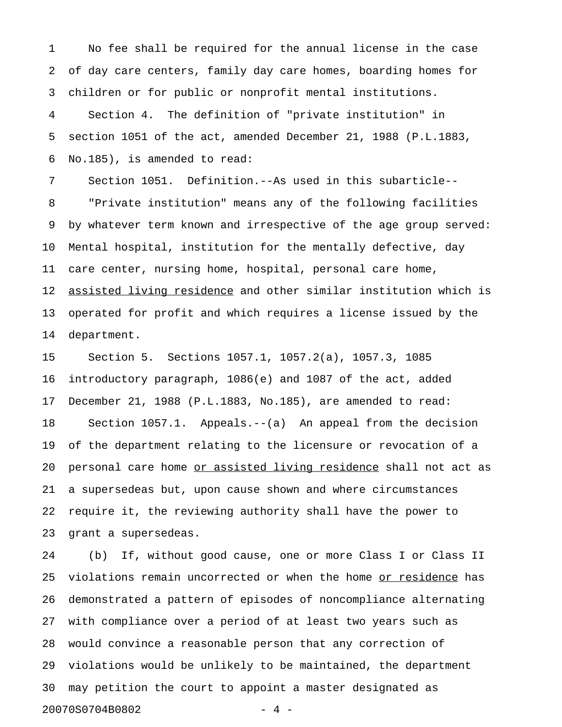1 No fee shall be required for the annual license in the case 2 of day care centers, family day care homes, boarding homes for 3 children or for public or nonprofit mental institutions.

4 Section 4. The definition of "private institution" in 5 section 1051 of the act, amended December 21, 1988 (P.L.1883, 6 No.185), is amended to read:

7 Section 1051. Definition.--As used in this subarticle-- 8 "Private institution" means any of the following facilities 9 by whatever term known and irrespective of the age group served: 10 Mental hospital, institution for the mentally defective, day 11 care center, nursing home, hospital, personal care home, 12 assisted living residence and other similar institution which is 13 operated for profit and which requires a license issued by the 14 department.

15 Section 5. Sections 1057.1, 1057.2(a), 1057.3, 1085 16 introductory paragraph, 1086(e) and 1087 of the act, added 17 December 21, 1988 (P.L.1883, No.185), are amended to read: 18 Section 1057.1. Appeals.--(a) An appeal from the decision 19 of the department relating to the licensure or revocation of a 20 personal care home or assisted living residence shall not act as 21 a supersedeas but, upon cause shown and where circumstances 22 require it, the reviewing authority shall have the power to 23 grant a supersedeas.

24 (b) If, without good cause, one or more Class I or Class II 25 violations remain uncorrected or when the home or residence has 26 demonstrated a pattern of episodes of noncompliance alternating 27 with compliance over a period of at least two years such as 28 would convince a reasonable person that any correction of 29 violations would be unlikely to be maintained, the department 30 may petition the court to appoint a master designated as 20070S0704B0802 - 4 -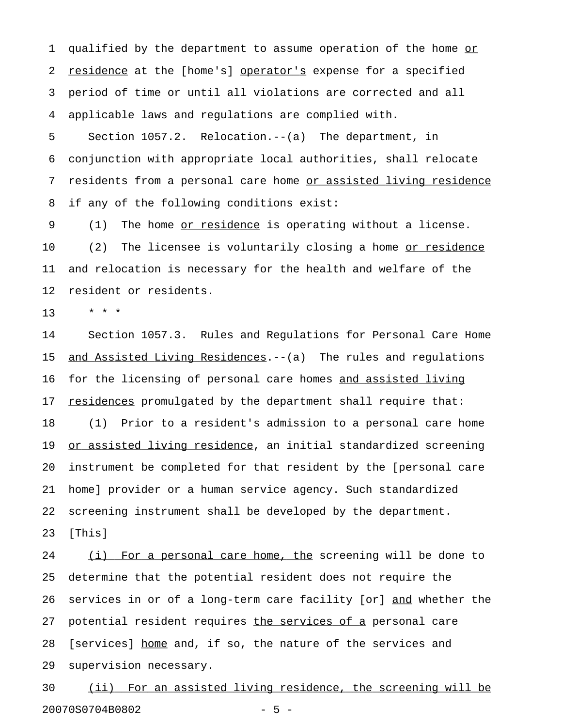1 qualified by the department to assume operation of the home or 2 residence at the [home's] operator's expense for a specified 3 period of time or until all violations are corrected and all 4 applicable laws and regulations are complied with.

5 Section 1057.2. Relocation.--(a) The department, in 6 conjunction with appropriate local authorities, shall relocate 7 residents from a personal care home or assisted living residence 8 if any of the following conditions exist:

9 (1) The home <u>or residence</u> is operating without a license. 10 (2) The licensee is voluntarily closing a home <u>or residence</u> 11 and relocation is necessary for the health and welfare of the 12 resident or residents.

13 \* \* \*

14 Section 1057.3. Rules and Regulations for Personal Care Home 15 <u>and Assisted Living Residences</u>.--(a) The rules and regulations 16 for the licensing of personal care homes and assisted living 17 residences promulgated by the department shall require that: 18 (1) Prior to a resident's admission to a personal care home 19 or assisted living residence, an initial standardized screening 20 instrument be completed for that resident by the [personal care 21 home] provider or a human service agency. Such standardized 22 screening instrument shall be developed by the department. 23 [This]

24 (i) For a personal care home, the screening will be done to 25 determine that the potential resident does not require the 26 services in or of a long-term care facility [or] and whether the 27 potential resident requires the services of a personal care 28 [services] home and, if so, the nature of the services and 29 supervision necessary.

30 (ii) For an assisted living residence, the screening will be 20070S0704B0802 - 5 -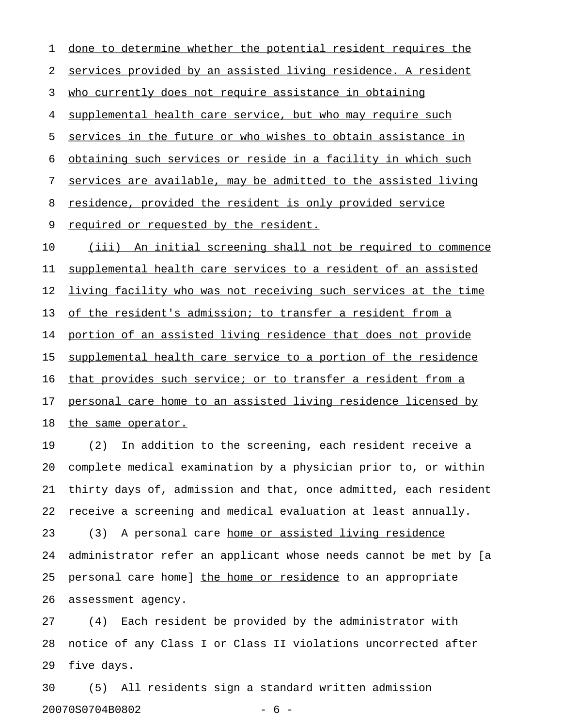1 done to determine whether the potential resident requires the 2 services provided by an assisted living residence. A resident 3 who currently does not require assistance in obtaining 4 supplemental health care service, but who may require such 5 services in the future or who wishes to obtain assistance in 6 obtaining such services or reside in a facility in which such 7 services are available, may be admitted to the assisted living 8 residence, provided the resident is only provided service 9 required or requested by the resident. 10 (iii) An initial screening shall not be required to commence 11 supplemental health care services to a resident of an assisted 12 living facility who was not receiving such services at the time 13 of the resident's admission; to transfer a resident from a 14 portion of an assisted living residence that does not provide 15 supplemental health care service to a portion of the residence 16 that provides such service; or to transfer a resident from a 17 personal care home to an assisted living residence licensed by 18 the same operator.

19 (2) In addition to the screening, each resident receive a 20 complete medical examination by a physician prior to, or within 21 thirty days of, admission and that, once admitted, each resident 22 receive a screening and medical evaluation at least annually. 23 (3) A personal care home or assisted living residence 24 administrator refer an applicant whose needs cannot be met by [a 25 personal care home] the home or residence to an appropriate 26 assessment agency.

27 (4) Each resident be provided by the administrator with 28 notice of any Class I or Class II violations uncorrected after 29 five days.

30 (5) All residents sign a standard written admission 20070S0704B0802 - 6 -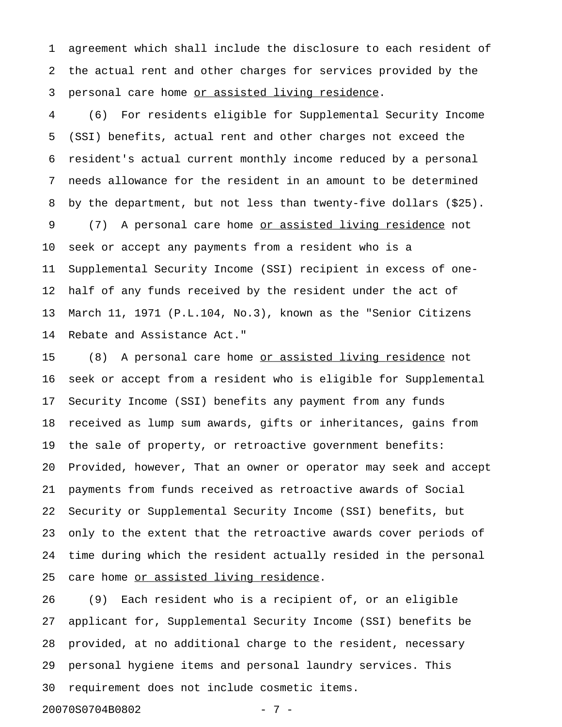1 agreement which shall include the disclosure to each resident of 2 the actual rent and other charges for services provided by the 3 personal care home or assisted living residence.

4 (6) For residents eligible for Supplemental Security Income 5 (SSI) benefits, actual rent and other charges not exceed the 6 resident's actual current monthly income reduced by a personal 7 needs allowance for the resident in an amount to be determined 8 by the department, but not less than twenty-five dollars (\$25). 9 (7) A personal care home <u>or assisted living residence</u> not 10 seek or accept any payments from a resident who is a 11 Supplemental Security Income (SSI) recipient in excess of one-12 half of any funds received by the resident under the act of 13 March 11, 1971 (P.L.104, No.3), known as the "Senior Citizens 14 Rebate and Assistance Act."

15 (8) A personal care home <u>or assisted living residence</u> not 16 seek or accept from a resident who is eligible for Supplemental 17 Security Income (SSI) benefits any payment from any funds 18 received as lump sum awards, gifts or inheritances, gains from 19 the sale of property, or retroactive government benefits: 20 Provided, however, That an owner or operator may seek and accept 21 payments from funds received as retroactive awards of Social 22 Security or Supplemental Security Income (SSI) benefits, but 23 only to the extent that the retroactive awards cover periods of 24 time during which the resident actually resided in the personal 25 care home or assisted living residence.

26 (9) Each resident who is a recipient of, or an eligible 27 applicant for, Supplemental Security Income (SSI) benefits be 28 provided, at no additional charge to the resident, necessary 29 personal hygiene items and personal laundry services. This 30 requirement does not include cosmetic items.

20070S0704B0802 - 7 -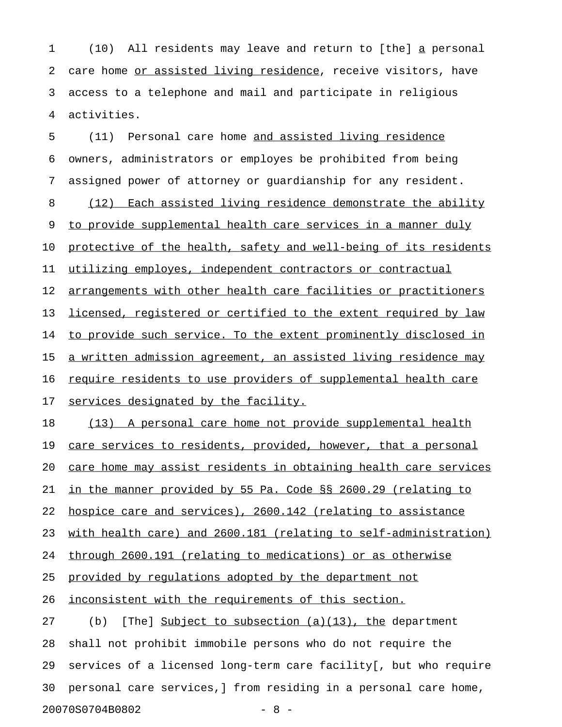1 (10) All residents may leave and return to [the] a personal 2 care home or assisted living residence, receive visitors, have 3 access to a telephone and mail and participate in religious 4 activities.

5 (11) Personal care home and assisted living residence 6 owners, administrators or employes be prohibited from being 7 assigned power of attorney or guardianship for any resident. 8 (12) Each assisted living residence demonstrate the ability 9 to provide supplemental health care services in a manner duly 10 protective of the health, safety and well-being of its residents 11 utilizing employes, independent contractors or contractual 12 arrangements with other health care facilities or practitioners 13 licensed, registered or certified to the extent required by law 14 to provide such service. To the extent prominently disclosed in 15 a written admission agreement, an assisted living residence may 16 require residents to use providers of supplemental health care 17 services designated by the facility. 18 (13) A personal care home not provide supplemental health 19 care services to residents, provided, however, that a personal 20 care home may assist residents in obtaining health care services 21 in the manner provided by 55 Pa. Code §§ 2600.29 (relating to 22 hospice care and services), 2600.142 (relating to assistance 23 with health care) and 2600.181 (relating to self-administration) 24 through 2600.191 (relating to medications) or as otherwise 25 provided by requlations adopted by the department not 26 <u>inconsistent with the requirements of this section.</u> 27 (b) [The] Subject to subsection  $(a)(13)$ , the department

28 shall not prohibit immobile persons who do not require the 29 services of a licensed long-term care facility[, but who require 30 personal care services,] from residing in a personal care home, 20070S0704B0802 - 8 -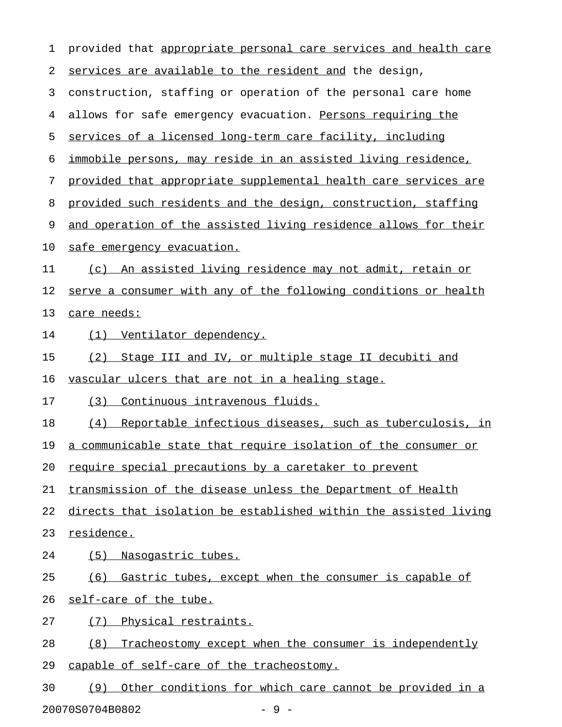1 provided that appropriate personal care services and health care 2 services are available to the resident and the design, 3 construction, staffing or operation of the personal care home 4 allows for safe emergency evacuation. Persons requiring the 5 services of a licensed long-term care facility, including 6 immobile persons, may reside in an assisted living residence, 7 provided that appropriate supplemental health care services are 8 provided such residents and the design, construction, staffing 9 and operation of the assisted living residence allows for their 10 safe emergency evacuation. 11 (c) An assisted living residence may not admit, retain or 12 serve a consumer with any of the following conditions or health 13 care needs: 14 (1) Ventilator dependency. 15 (2) Stage III and IV, or multiple stage II decubiti and 16 vascular ulcers that are not in a healing stage. 17 (3) Continuous intravenous fluids. 18 (4) Reportable infectious diseases, such as tuberculosis, in 19 a communicable state that require isolation of the consumer or 20 require special precautions by a caretaker to prevent 21 transmission of the disease unless the Department of Health 22 directs that isolation be established within the assisted living 23 residence. 24 (5) Nasogastric tubes. 25 (6) Gastric tubes, except when the consumer is capable of 26 self-care of the tube. 27 (7) Physical restraints. 28 (8) Tracheostomy except when the consumer is independently 29 capable of self-care of the tracheostomy. 30 (9) Other conditions for which care cannot be provided in a

20070S0704B0802 - 9 -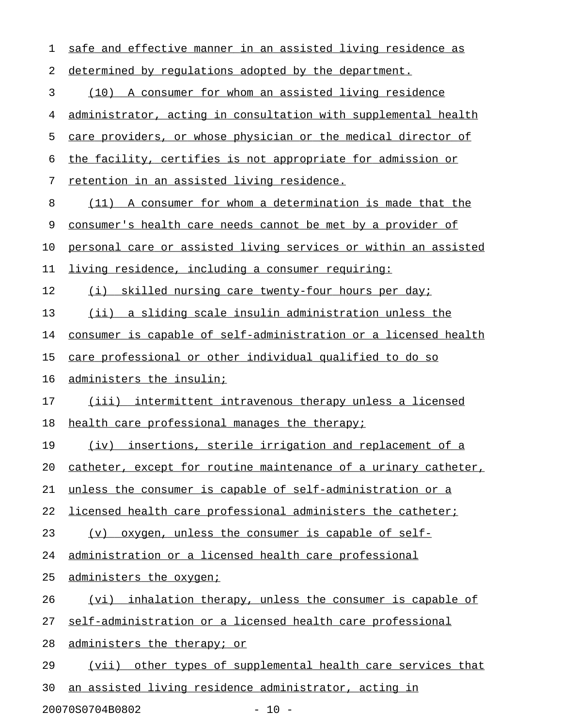| 1  | safe and effective manner in an assisted living residence as    |
|----|-----------------------------------------------------------------|
| 2  | determined by regulations adopted by the department.            |
| 3  | (10) A consumer for whom an assisted living residence           |
| 4  | administrator, acting in consultation with supplemental health  |
| 5  | care providers, or whose physician or the medical director of   |
| 6  | the facility, certifies is not appropriate for admission or     |
| 7  | retention in an assisted living residence.                      |
| 8  | (11) A consumer for whom a determination is made that the       |
| 9  | consumer's health care needs cannot be met by a provider of     |
| 10 | personal care or assisted living services or within an assisted |
| 11 | living residence, including a consumer requiring:               |
| 12 | (i) skilled nursing care twenty-four hours per day;             |
| 13 | (ii) a sliding scale insulin administration unless the          |
| 14 | consumer is capable of self-administration or a licensed health |
| 15 | care professional or other individual qualified to do so        |
| 16 | administers the insulin;                                        |
| 17 | (iii) intermittent intravenous therapy unless a licensed        |
| 18 | health care professional manages the therapy;                   |
| 19 | insertions, sterile irrigation and replacement of a<br>(iv)     |
| 20 | catheter, except for routine maintenance of a urinary catheter, |
| 21 | unless the consumer is capable of self-administration or a      |
| 22 | licensed health care professional administers the catheter;     |
| 23 | oxygen, unless the consumer is capable of self-<br>(v)          |
| 24 | administration or a licensed health care professional           |
| 25 | administers the oxygen;                                         |
| 26 | (vi) inhalation therapy, unless the consumer is capable of      |
| 27 | self-administration or a licensed health care professional      |
| 28 | administers the therapy; or                                     |
| 29 | (vii) other types of supplemental health care services that     |
| 30 | an assisted living residence administrator, acting in           |

20070S0704B0802 - 10 -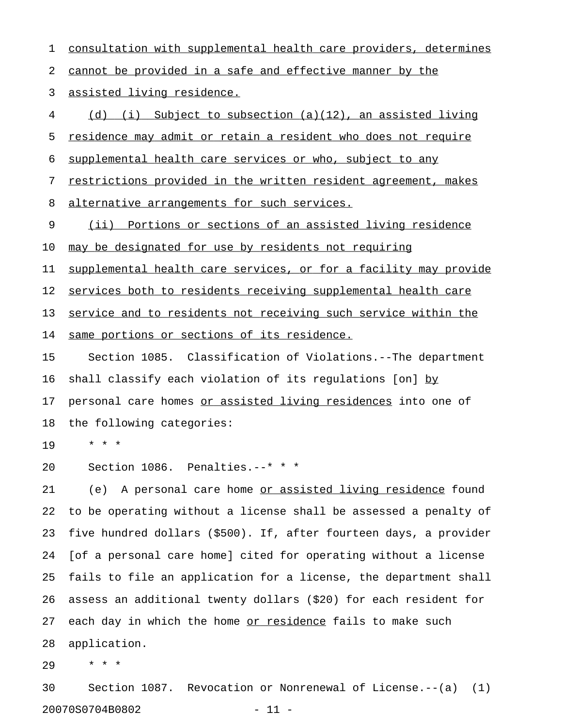1 consultation with supplemental health care providers, determines 2 cannot be provided in a safe and effective manner by the 3 assisted living residence. 4 (d) (i) Subject to subsection (a)(12), an assisted living 5 residence may admit or retain a resident who does not require 6 supplemental health care services or who, subject to any 7 restrictions provided in the written resident agreement, makes 8 alternative arrangements for such services. 9 (ii) Portions or sections of an assisted living residence 10 may be designated for use by residents not requiring 11 supplemental health care services, or for a facility may provide 12 services both to residents receiving supplemental health care 13 service and to residents not receiving such service within the 14 same portions or sections of its residence. 15 Section 1085. Classification of Violations.--The department 16 shall classify each violation of its regulations [on] by\_\_ 17 personal care homes or assisted living residences into one of 18 the following categories: 19 \* \* \* 20 Section 1086. Penalties.--\* \* \* 21 (e) A personal care home <u>or assisted living residence</u> found 22 to be operating without a license shall be assessed a penalty of 23 five hundred dollars (\$500). If, after fourteen days, a provider 24 [of a personal care home] cited for operating without a license 25 fails to file an application for a license, the department shall 26 assess an additional twenty dollars (\$20) for each resident for 27 each day in which the home or residence fails to make such 28 application.

29 \* \* \*

30 Section 1087. Revocation or Nonrenewal of License.--(a) (1) 20070S0704B0802 - 11 -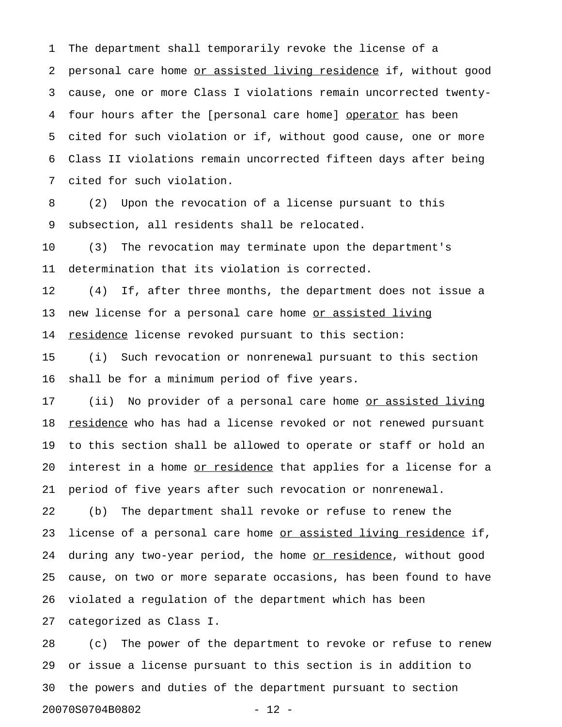1 The department shall temporarily revoke the license of a 2 personal care home or assisted living residence if, without good 3 cause, one or more Class I violations remain uncorrected twenty-4 four hours after the [personal care home] operator has been 5 cited for such violation or if, without good cause, one or more 6 Class II violations remain uncorrected fifteen days after being 7 cited for such violation.

8 (2) Upon the revocation of a license pursuant to this 9 subsection, all residents shall be relocated.

10 (3) The revocation may terminate upon the department's 11 determination that its violation is corrected.

12 (4) If, after three months, the department does not issue a 13 new license for a personal care home or assisted living 14 residence license revoked pursuant to this section:

15 (i) Such revocation or nonrenewal pursuant to this section 16 shall be for a minimum period of five years.

17 (ii) No provider of a personal care home <u>or assisted living</u> 18 residence who has had a license revoked or not renewed pursuant 19 to this section shall be allowed to operate or staff or hold an 20 interest in a home <u>or residence</u> that applies for a license for a 21 period of five years after such revocation or nonrenewal.

22 (b) The department shall revoke or refuse to renew the 23 license of a personal care home <u>or assisted living residence</u> if, 24 during any two-year period, the home or residence, without good 25 cause, on two or more separate occasions, has been found to have 26 violated a regulation of the department which has been

27 categorized as Class I.

28 (c) The power of the department to revoke or refuse to renew 29 or issue a license pursuant to this section is in addition to 30 the powers and duties of the department pursuant to section 20070S0704B0802 - 12 -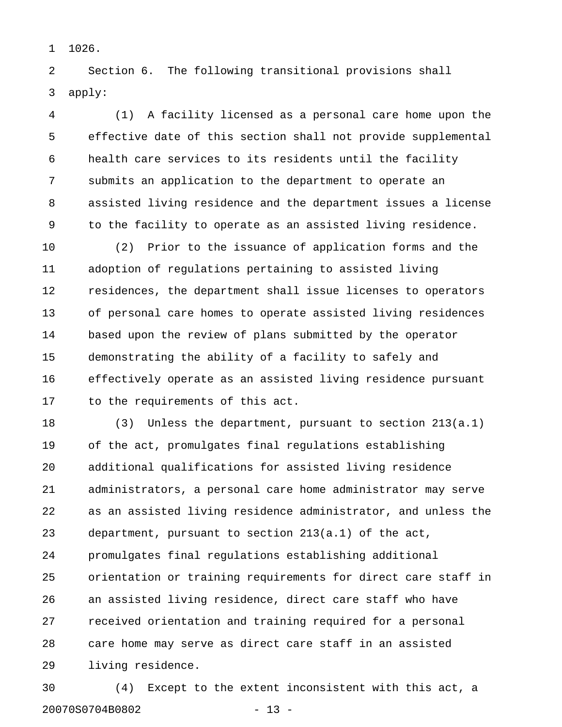1 1026.

2 Section 6. The following transitional provisions shall 3 apply:

4 (1) A facility licensed as a personal care home upon the 5 effective date of this section shall not provide supplemental 6 health care services to its residents until the facility 7 submits an application to the department to operate an 8 assisted living residence and the department issues a license 9 to the facility to operate as an assisted living residence.

10 (2) Prior to the issuance of application forms and the 11 adoption of regulations pertaining to assisted living 12 residences, the department shall issue licenses to operators 13 of personal care homes to operate assisted living residences 14 based upon the review of plans submitted by the operator 15 demonstrating the ability of a facility to safely and 16 effectively operate as an assisted living residence pursuant 17 to the requirements of this act.

18 (3) Unless the department, pursuant to section 213(a.1) 19 of the act, promulgates final regulations establishing 20 additional qualifications for assisted living residence 21 administrators, a personal care home administrator may serve 22 as an assisted living residence administrator, and unless the 23 department, pursuant to section 213(a.1) of the act, 24 promulgates final regulations establishing additional 25 orientation or training requirements for direct care staff in 26 an assisted living residence, direct care staff who have 27 received orientation and training required for a personal 28 care home may serve as direct care staff in an assisted 29 living residence.

30 (4) Except to the extent inconsistent with this act, a 20070S0704B0802 - 13 -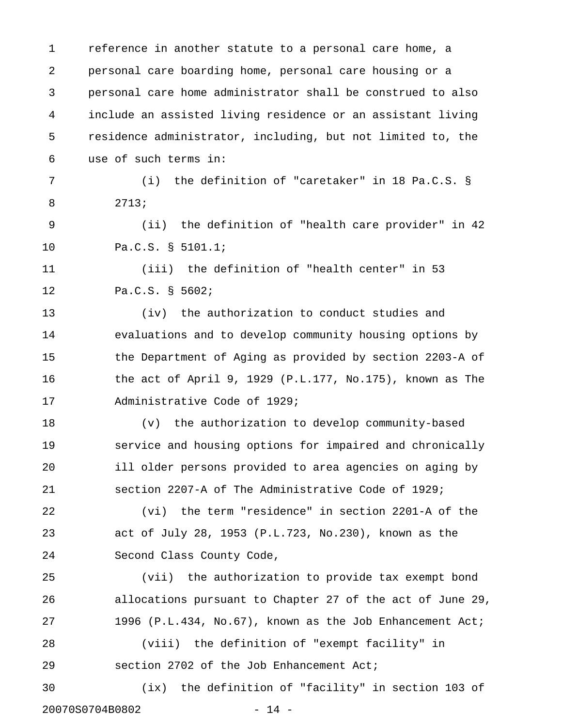1 reference in another statute to a personal care home, a 2 personal care boarding home, personal care housing or a 3 personal care home administrator shall be construed to also 4 include an assisted living residence or an assistant living 5 residence administrator, including, but not limited to, the 6 use of such terms in: 7 (i) the definition of "caretaker" in 18 Pa.C.S. § 8 2713; 9 (ii) the definition of "health care provider" in 42 10 Pa.C.S. § 5101.1; 11 (iii) the definition of "health center" in 53 12 Pa.C.S. § 5602; 13 (iv) the authorization to conduct studies and 14 evaluations and to develop community housing options by 15 the Department of Aging as provided by section 2203-A of 16 the act of April 9, 1929 (P.L.177, No.175), known as The 17 Administrative Code of 1929; 18 (v) the authorization to develop community-based 19 service and housing options for impaired and chronically 20 ill older persons provided to area agencies on aging by 21 section 2207-A of The Administrative Code of 1929; 22 (vi) the term "residence" in section 2201-A of the 23 act of July 28, 1953 (P.L.723, No.230), known as the 24 Second Class County Code, 25 (vii) the authorization to provide tax exempt bond 26 allocations pursuant to Chapter 27 of the act of June 29, 27 1996 (P.L.434, No.67), known as the Job Enhancement Act; 28 (viii) the definition of "exempt facility" in 29 section 2702 of the Job Enhancement Act; 30 (ix) the definition of "facility" in section 103 of 20070S0704B0802 - 14 -